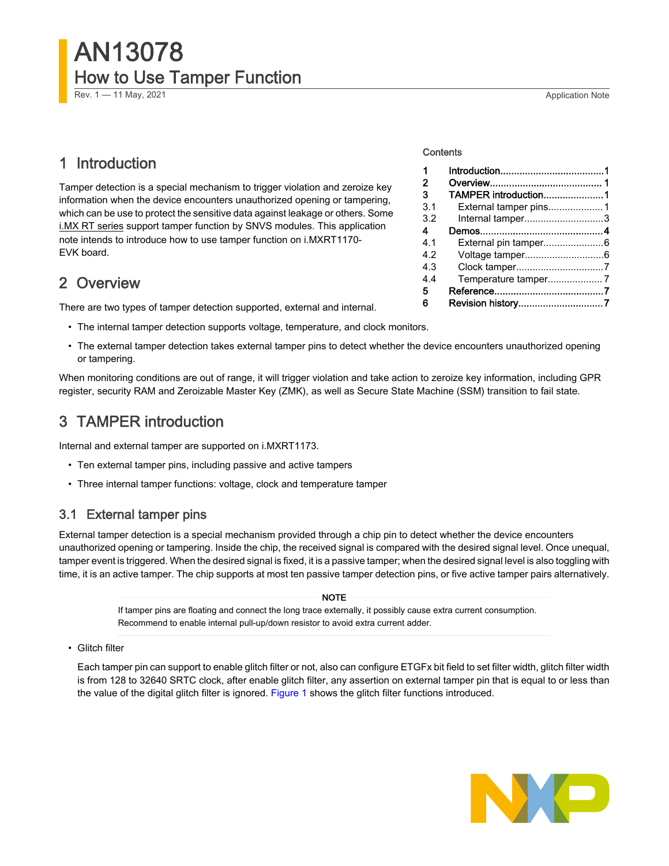<span id="page-0-0"></span>Rev. 1 — 11 May, 2021 **Application Note Rev. 1 — 11 May, 2021** 

# 1 Introduction

Tamper detection is a special mechanism to trigger violation and zeroize key information when the device encounters unauthorized opening or tampering, which can be use to protect the sensitive data against leakage or others. Some i.MX [RT series](https://www.nxp.com/products/processors-and-microcontrollers/arm-microcontrollers/i-mx-rt-crossover-mcus/i-mx-rt1170-crossover-mcu-family-first-ghz-mcu-with-arm-cortex-m7-and-cortex-m4-cores:i.MX-RT1170?utm_medium=AN-2021) support tamper function by SNVS modules. This application note intends to introduce how to use tamper function on i.MXRT1170- EVK board.

# 2 Overview

There are two types of tamper detection supported, external and internal.

- The internal tamper detection supports voltage, temperature, and clock monitors.
- The external tamper detection takes external tamper pins to detect whether the device encounters unauthorized opening or tampering.

When monitoring conditions are out of range, it will trigger violation and take action to zeroize key information, including GPR register, security RAM and Zeroizable Master Key (ZMK), as well as Secure State Machine (SSM) transition to fail state.

# 3 TAMPER introduction

Internal and external tamper are supported on i.MXRT1173.

- Ten external tamper pins, including passive and active tampers
- Three internal tamper functions: voltage, clock and temperature tamper

## 3.1 External tamper pins

External tamper detection is a special mechanism provided through a chip pin to detect whether the device encounters unauthorized opening or tampering. Inside the chip, the received signal is compared with the desired signal level. Once unequal, tamper event is triggered. When the desired signal is fixed, it is a passive tamper; when the desired signal level is also toggling with time, it is an active tamper. The chip supports at most ten passive tamper detection pins, or five active tamper pairs alternatively.

> If tamper pins are floating and connect the long trace externally, it possibly cause extra current consumption. Recommend to enable internal pull-up/down resistor to avoid extra current adder. NOTE

• Glitch filter

Each tamper pin can support to enable glitch filter or not, also can configure ETGFx bit field to set filter width, glitch filter width is from 128 to 32640 SRTC clock, after enable glitch filter, any assertion on external tamper pin that is equal to or less than the value of the digital glitch filter is ignored. [Figure 1](#page-1-0) shows the glitch filter functions introduced.



#### **Contents**

| 1   |                       |  |
|-----|-----------------------|--|
| 2   |                       |  |
| 3   | TAMPER introduction1  |  |
| 3.1 | External tamper pins1 |  |
| 3.2 | Internal tamper3      |  |
| 4   |                       |  |
| 4.1 |                       |  |
| 4.2 |                       |  |
| 4.3 |                       |  |
| 4.4 |                       |  |
| 5   |                       |  |
| 6   | Revision history7     |  |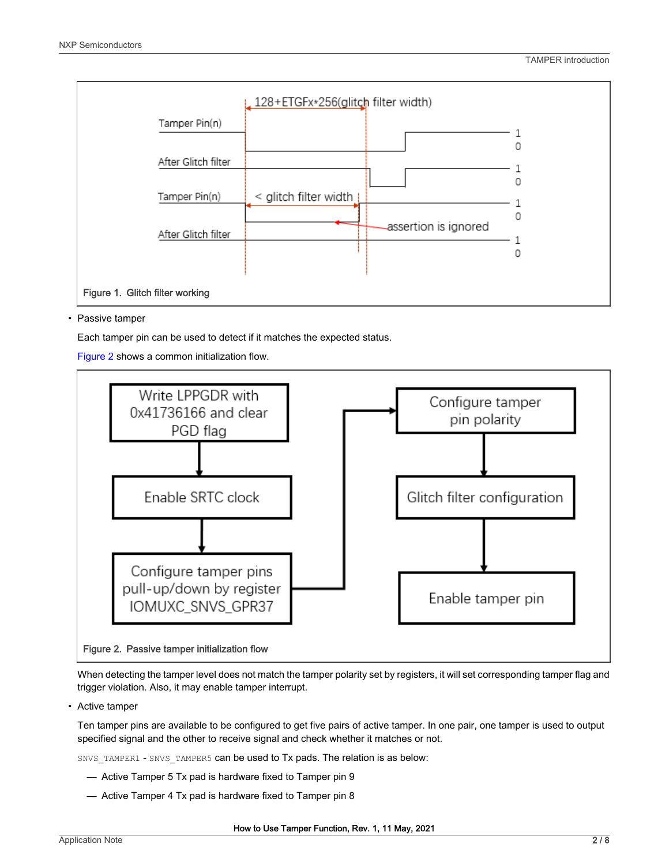<span id="page-1-0"></span>

#### • Passive tamper

Each tamper pin can be used to detect if it matches the expected status.

Figure 2 shows a common initialization flow.



When detecting the tamper level does not match the tamper polarity set by registers, it will set corresponding tamper flag and trigger violation. Also, it may enable tamper interrupt.

• Active tamper

Ten tamper pins are available to be configured to get five pairs of active tamper. In one pair, one tamper is used to output specified signal and the other to receive signal and check whether it matches or not.

SNVS\_TAMPER1 - SNVS\_TAMPER5 can be used to Tx pads. The relation is as below:

- Active Tamper 5 Tx pad is hardware fixed to Tamper pin 9
- Active Tamper 4 Tx pad is hardware fixed to Tamper pin 8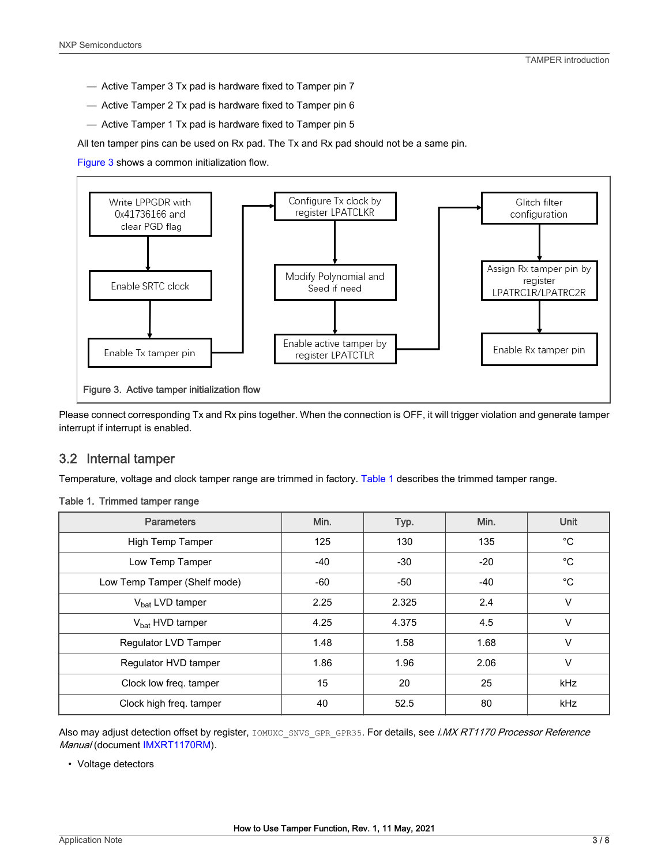- <span id="page-2-0"></span>— Active Tamper 3 Tx pad is hardware fixed to Tamper pin 7
- Active Tamper 2 Tx pad is hardware fixed to Tamper pin 6
- Active Tamper 1 Tx pad is hardware fixed to Tamper pin 5

All ten tamper pins can be used on Rx pad. The Tx and Rx pad should not be a same pin.

Figure 3 shows a common initialization flow.



Please connect corresponding Tx and Rx pins together. When the connection is OFF, it will trigger violation and generate tamper interrupt if interrupt is enabled.

## 3.2 Internal tamper

Temperature, voltage and clock tamper range are trimmed in factory. Table 1 describes the trimmed tamper range.

#### Table 1. Trimmed tamper range

| <b>Parameters</b>            | Min.  | Typ.  | Min.  | Unit         |
|------------------------------|-------|-------|-------|--------------|
| High Temp Tamper             | 125   | 130   | 135   | $^{\circ}C$  |
| Low Temp Tamper              | $-40$ | $-30$ | $-20$ | $^{\circ}C$  |
| Low Temp Tamper (Shelf mode) | -60   | -50   | -40   | $^{\circ}$ C |
| $V_{\text{bat}}$ LVD tamper  | 2.25  | 2.325 | 2.4   | $\vee$       |
| $V_{\text{bat}}$ HVD tamper  | 4.25  | 4.375 | 4.5   | $\vee$       |
| Regulator LVD Tamper         | 1.48  | 1.58  | 1.68  | $\vee$       |
| Regulator HVD tamper         | 1.86  | 1.96  | 2.06  | $\vee$       |
| Clock low freq. tamper       | 15    | 20    | 25    | <b>kHz</b>   |
| Clock high freq. tamper      | 40    | 52.5  | 80    | kHz          |

Also may adjust detection offset by register, IOMUXC\_SNVS\_GPR\_GPR35. For details, see i.MX RT1170 Processor Reference Manual (document [IMXRT1170RM](https://www.nxp.com/webapp/Download?colCode=IMXRT1170RM)).

• Voltage detectors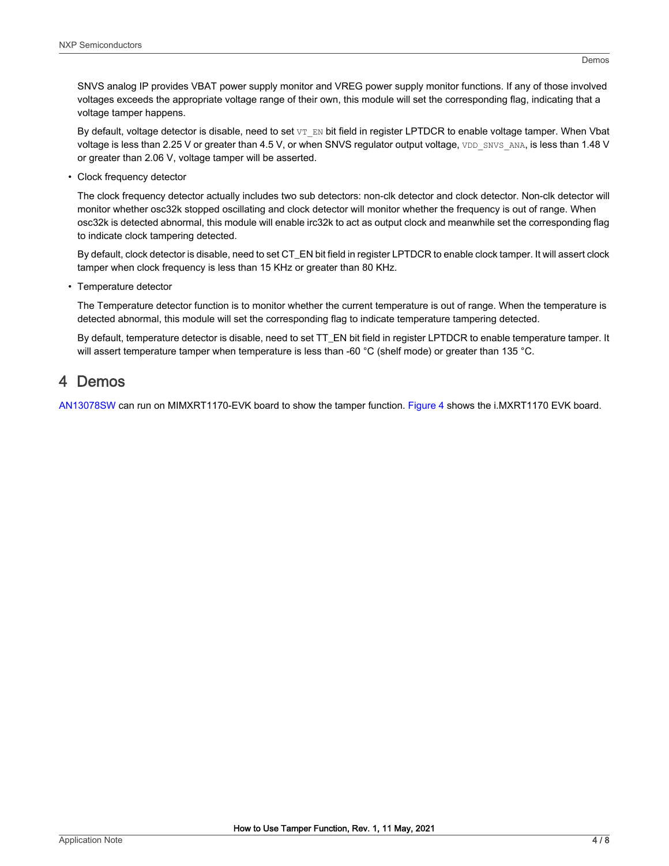<span id="page-3-0"></span>SNVS analog IP provides VBAT power supply monitor and VREG power supply monitor functions. If any of those involved voltages exceeds the appropriate voltage range of their own, this module will set the corresponding flag, indicating that a voltage tamper happens.

By default, voltage detector is disable, need to set VT\_EN bit field in register LPTDCR to enable voltage tamper. When Vbat voltage is less than 2.25 V or greater than 4.5 V, or when SNVS regulator output voltage, VDD\_SNVS\_ANA, is less than 1.48 V or greater than 2.06 V, voltage tamper will be asserted.

• Clock frequency detector

The clock frequency detector actually includes two sub detectors: non-clk detector and clock detector. Non-clk detector will monitor whether osc32k stopped oscillating and clock detector will monitor whether the frequency is out of range. When osc32k is detected abnormal, this module will enable irc32k to act as output clock and meanwhile set the corresponding flag to indicate clock tampering detected.

By default, clock detector is disable, need to set CT\_EN bit field in register LPTDCR to enable clock tamper. It will assert clock tamper when clock frequency is less than 15 KHz or greater than 80 KHz.

• Temperature detector

The Temperature detector function is to monitor whether the current temperature is out of range. When the temperature is detected abnormal, this module will set the corresponding flag to indicate temperature tampering detected.

By default, temperature detector is disable, need to set TT\_EN bit field in register LPTDCR to enable temperature tamper. It will assert temperature tamper when temperature is less than -60 °C (shelf mode) or greater than 135 °C.

## 4 Demos

[AN13078SW](https://www.nxp.com/docs/en/application-note-software/AN13078SW.zip) can run on MIMXRT1170-EVK board to show the tamper function. [Figure 4](#page-4-0) shows the i.MXRT1170 EVK board.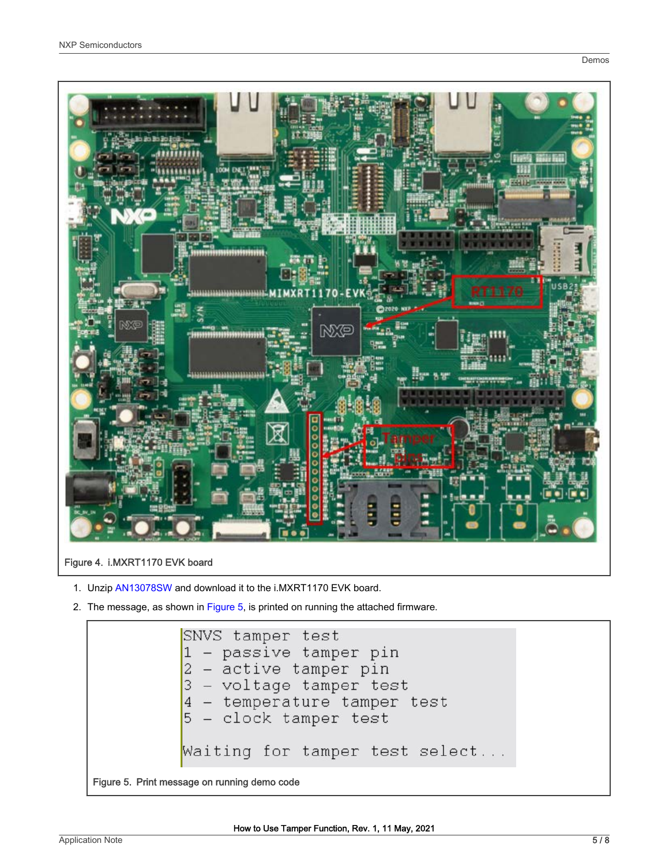<span id="page-4-0"></span>

## Figure 4. i.MXRT1170 EVK board

- 1. Unzip [AN13078SW](https://www.nxp.com/docs/en/application-note-software/AN13078SW.zip) and download it to the i.MXRT1170 EVK board.
- 2. The message, as shown in Figure 5, is printed on running the attached firmware.

```
SNVS tamper test
             - passive tamper pin
            - active tamper pin
           2
            - voltage tamper test
           3
            - temperature tamper test
           \overline{4}- clock tamper test
           5
          Waiting for tamper test select...
Figure 5. Print message on running demo code
```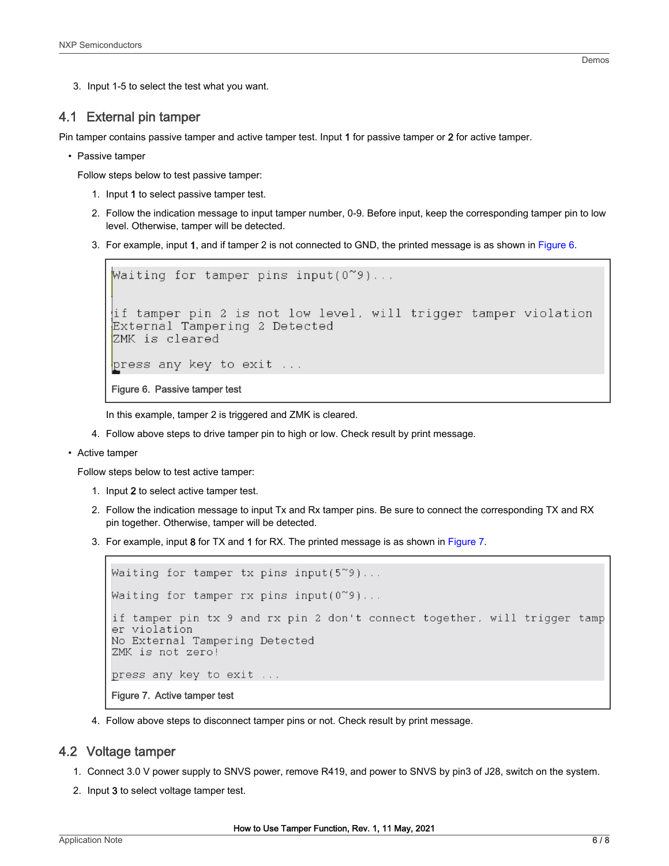<span id="page-5-0"></span>3. Input 1-5 to select the test what you want.

### 4.1 External pin tamper

Pin tamper contains passive tamper and active tamper test. Input 1 for passive tamper or 2 for active tamper.

• Passive tamper

Follow steps below to test passive tamper:

- 1. Input 1 to select passive tamper test.
- 2. Follow the indication message to input tamper number, 0-9. Before input, keep the corresponding tamper pin to low level. Otherwise, tamper will be detected.
- 3. For example, input 1, and if tamper 2 is not connected to GND, the printed message is as shown in Figure 6.

```
Waiting for tamper pins input(0^{\infty}9)...
if tamper pin 2 is not low level, will trigger tamper violation
External Tampering 2 Detected
ZMK is cleared
press any key to exit ...
Figure 6. Passive tamper test
```
In this example, tamper 2 is triggered and ZMK is cleared.

- 4. Follow above steps to drive tamper pin to high or low. Check result by print message.
- Active tamper

Follow steps below to test active tamper:

- 1. Input 2 to select active tamper test.
- 2. Follow the indication message to input Tx and Rx tamper pins. Be sure to connect the corresponding TX and RX pin together. Otherwise, tamper will be detected.
- 3. For example, input 8 for TX and 1 for RX. The printed message is as shown in Figure 7.

```
Waiting for tamper tx pins input(5~9)...
Waiting for tamper rx pins input(0~9)...
if tamper pin tx 9 and rx pin 2 don't connect together, will trigger tamp
er violation
No External Tampering Detected
ZMK is not zero!
press any key to exit ...
Figure 7. Active tamper test
```
4. Follow above steps to disconnect tamper pins or not. Check result by print message.

#### 4.2 Voltage tamper

- 1. Connect 3.0 V power supply to SNVS power, remove R419, and power to SNVS by pin3 of J28, switch on the system.
- 2. Input 3 to select voltage tamper test.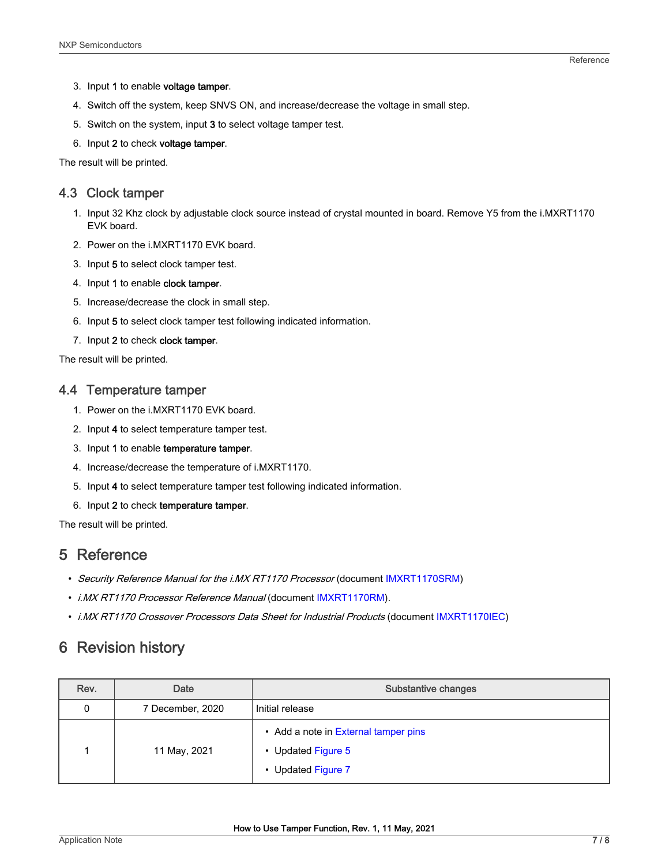- <span id="page-6-0"></span>3. Input 1 to enable voltage tamper.
- 4. Switch off the system, keep SNVS ON, and increase/decrease the voltage in small step.
- 5. Switch on the system, input 3 to select voltage tamper test.
- 6. Input 2 to check voltage tamper.

The result will be printed.

## 4.3 Clock tamper

- 1. Input 32 Khz clock by adjustable clock source instead of crystal mounted in board. Remove Y5 from the i.MXRT1170 EVK board.
- 2. Power on the i.MXRT1170 EVK board.
- 3. Input 5 to select clock tamper test.
- 4. Input 1 to enable clock tamper.
- 5. Increase/decrease the clock in small step.
- 6. Input 5 to select clock tamper test following indicated information.
- 7. Input 2 to check clock tamper.

The result will be printed.

#### 4.4 Temperature tamper

- 1. Power on the i.MXRT1170 EVK board.
- 2. Input 4 to select temperature tamper test.
- 3. Input 1 to enable temperature tamper.
- 4. Increase/decrease the temperature of i.MXRT1170.
- 5. Input 4 to select temperature tamper test following indicated information.
- 6. Input 2 to check temperature tamper.

The result will be printed.

## 5 Reference

- Security Reference Manual for the i.MX RT1170 Processor (document [IMXRT1170SRM](https://www.nxp.com/webapp/sps/download/mod_download.jsp?colCode=IMXRT1170SRM&appType=moderated))
- *i.MX RT1170 Processor Reference Manual* (document [IMXRT1170RM](https://www.nxp.com/webapp/Download?colCode=IMXRT1170RM)).
- i.MX RT1170 Crossover Processors Data Sheet for Industrial Products (document [IMXRT1170IEC\)](https://www.nxp.com/docs/en/nxp/data-sheets/IMXRT1170IEC.pdf)

# 6 Revision history

| Rev. | Date             | Substantive changes                                                              |
|------|------------------|----------------------------------------------------------------------------------|
| 0    | 7 December, 2020 | Initial release                                                                  |
|      | 11 May, 2021     | • Add a note in External tamper pins<br>• Updated Figure 5<br>• Updated Figure 7 |